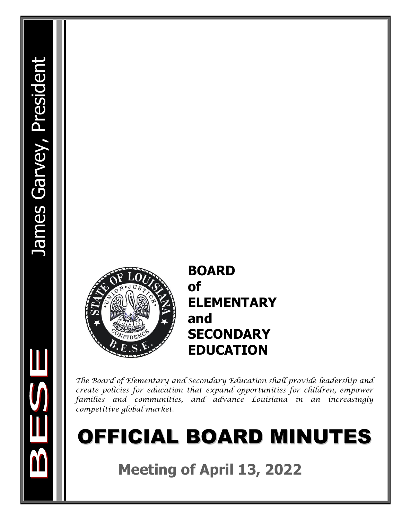

## **BOARD of ELEMENTARY and SECONDARY EDUCATION**

*The Board of Elementary and Secondary Education shall provide leadership and create policies for education that expand opportunities for children, empower families and communities, and advance Louisiana in an increasingly competitive global market.*

# OFFICIAL BOARD MINUTES

**Meeting of April 13, 2022**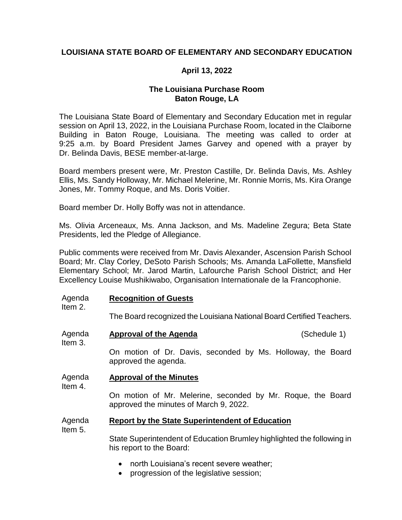## **LOUISIANA STATE BOARD OF ELEMENTARY AND SECONDARY EDUCATION**

## **April 13, 2022**

## **The Louisiana Purchase Room Baton Rouge, LA**

The Louisiana State Board of Elementary and Secondary Education met in regular session on April 13, 2022, in the Louisiana Purchase Room, located in the Claiborne Building in Baton Rouge, Louisiana. The meeting was called to order at 9:25 a.m. by Board President James Garvey and opened with a prayer by Dr. Belinda Davis, BESE member-at-large.

Board members present were, Mr. Preston Castille, Dr. Belinda Davis, Ms. Ashley Ellis, Ms. Sandy Holloway, Mr. Michael Melerine, Mr. Ronnie Morris, Ms. Kira Orange Jones, Mr. Tommy Roque, and Ms. Doris Voitier.

Board member Dr. Holly Boffy was not in attendance.

Ms. Olivia Arceneaux, Ms. Anna Jackson, and Ms. Madeline Zegura; Beta State Presidents, led the Pledge of Allegiance.

Public comments were received from Mr. Davis Alexander, Ascension Parish School Board; Mr. Clay Corley, DeSoto Parish Schools; Ms. Amanda LaFollette, Mansfield Elementary School; Mr. Jarod Martin, Lafourche Parish School District; and Her Excellency Louise Mushikiwabo, Organisation Internationale de la Francophonie.

#### Agenda **Recognition of Guests**

Item 2.

Item 3.

Item 5.

The Board recognized the Louisiana National Board Certified Teachers.

Agenda **Approval of the Agenda** (Schedule 1)

On motion of Dr. Davis, seconded by Ms. Holloway, the Board approved the agenda.

#### Agenda **Approval of the Minutes**

Item 4.

On motion of Mr. Melerine, seconded by Mr. Roque, the Board approved the minutes of March 9, 2022.

#### Agenda **Report by the State Superintendent of Education**

State Superintendent of Education Brumley highlighted the following in his report to the Board:

- north Louisiana's recent severe weather:
- progression of the legislative session;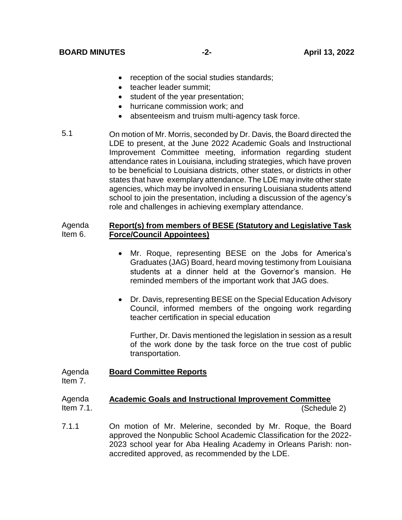- reception of the social studies standards;
- teacher leader summit:
- student of the year presentation;
- hurricane commission work; and
- absenteeism and truism multi-agency task force.
- 5.1 On motion of Mr. Morris, seconded by Dr. Davis, the Board directed the LDE to present, at the June 2022 Academic Goals and Instructional Improvement Committee meeting, information regarding student attendance rates in Louisiana, including strategies, which have proven to be beneficial to Louisiana districts, other states, or districts in other states that have exemplary attendance. The LDE may invite other state agencies, which may be involved in ensuring Louisiana students attend school to join the presentation, including a discussion of the agency's role and challenges in achieving exemplary attendance.

#### Agenda Item 6. **Report(s) from members of BESE (Statutory and Legislative Task Force/Council Appointees)**

- Mr. Roque, representing BESE on the Jobs for America's Graduates (JAG) Board, heard moving testimony from Louisiana students at a dinner held at the Governor's mansion. He reminded members of the important work that JAG does.
- Dr. Davis, representing BESE on the Special Education Advisory Council, informed members of the ongoing work regarding teacher certification in special education

Further, Dr. Davis mentioned the legislation in session as a result of the work done by the task force on the true cost of public transportation.

#### Agenda **Board Committee Reports**

Item 7.

#### Agenda Item 7.1. **Academic Goals and Instructional Improvement Committee** (Schedule 2)

7.1.1 On motion of Mr. Melerine, seconded by Mr. Roque, the Board approved the Nonpublic School Academic Classification for the 2022- 2023 school year for Aba Healing Academy in Orleans Parish: nonaccredited approved, as recommended by the LDE.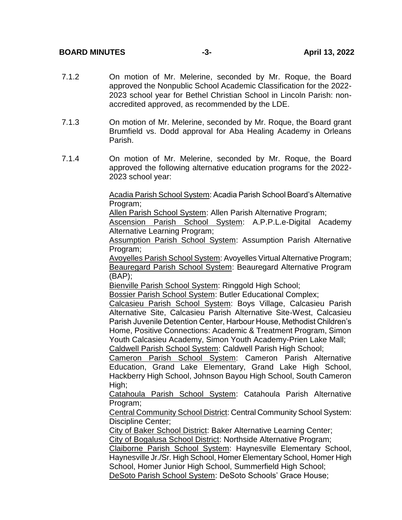- 7.1.2 On motion of Mr. Melerine, seconded by Mr. Roque, the Board approved the Nonpublic School Academic Classification for the 2022- 2023 school year for Bethel Christian School in Lincoln Parish: nonaccredited approved, as recommended by the LDE.
- 7.1.3 On motion of Mr. Melerine, seconded by Mr. Roque, the Board grant Brumfield vs. Dodd approval for Aba Healing Academy in Orleans Parish.
- 7.1.4 On motion of Mr. Melerine, seconded by Mr. Roque, the Board approved the following alternative education programs for the 2022- 2023 school year:

Acadia Parish School System: Acadia Parish School Board's Alternative Program;

Allen Parish School System: Allen Parish Alternative Program;

Ascension Parish School System: A.P.P.L.e-Digital Academy Alternative Learning Program;

Assumption Parish School System: Assumption Parish Alternative Program;

Avoyelles Parish School System: Avoyelles Virtual Alternative Program; Beauregard Parish School System: Beauregard Alternative Program (BAP);

Bienville Parish School System: Ringgold High School;

Bossier Parish School System: Butler Educational Complex;

Calcasieu Parish School System: Boys Village, Calcasieu Parish Alternative Site, Calcasieu Parish Alternative Site-West, Calcasieu Parish Juvenile Detention Center, Harbour House, Methodist Children's Home, Positive Connections: Academic & Treatment Program, Simon Youth Calcasieu Academy, Simon Youth Academy-Prien Lake Mall; Caldwell Parish School System: Caldwell Parish High School;

Cameron Parish School System: Cameron Parish Alternative Education, Grand Lake Elementary, Grand Lake High School, Hackberry High School, Johnson Bayou High School, South Cameron High;

Catahoula Parish School System: Catahoula Parish Alternative Program;

Central Community School District: Central Community School System: Discipline Center;

City of Baker School District: Baker Alternative Learning Center;

City of Bogalusa School District: Northside Alternative Program;

Claiborne Parish School System: Haynesville Elementary School, Haynesville Jr./Sr. High School, Homer Elementary School, Homer High School, Homer Junior High School, Summerfield High School; DeSoto Parish School System: DeSoto Schools' Grace House;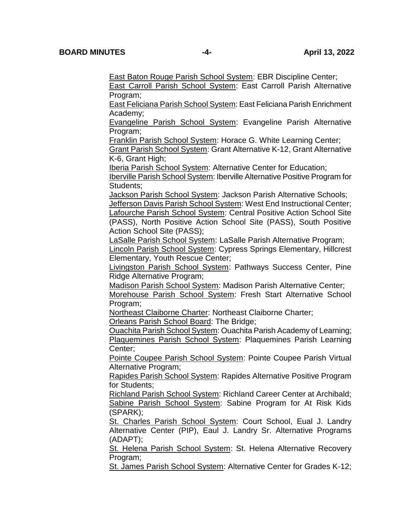East Baton Rouge Parish School System: EBR Discipline Center;

East Carroll Parish School System: East Carroll Parish Alternative Program;

East Feliciana Parish School System: East Feliciana Parish Enrichment Academy;

Evangeline Parish School System: Evangeline Parish Alternative Program;

**Franklin Parish School System: Horace G. White Learning Center;** Grant Parish School System: Grant Alternative K-12, Grant Alternative

K-6, Grant High;

Iberia Parish School System: Alternative Center for Education; Iberville Parish School System: Iberville Alternative Positive Program for Students;

Jackson Parish School System: Jackson Parish Alternative Schools; Jefferson Davis Parish School System: West End Instructional Center;

Lafourche Parish School System: Central Positive Action School Site (PASS), North Positive Action School Site (PASS), South Positive Action School Site (PASS);

LaSalle Parish School System: LaSalle Parish Alternative Program;

Lincoln Parish School System: Cypress Springs Elementary, Hillcrest Elementary, Youth Rescue Center;

Livingston Parish School System: Pathways Success Center, Pine Ridge Alternative Program;

Madison Parish School System: Madison Parish Alternative Center;

Morehouse Parish School System: Fresh Start Alternative School Program;

Northeast Claiborne Charter: Northeast Claiborne Charter;

Orleans Parish School Board: The Bridge;

Ouachita Parish School System: Ouachita Parish Academy of Learning; Plaquemines Parish School System: Plaquemines Parish Learning Center;

Pointe Coupee Parish School System: Pointe Coupee Parish Virtual Alternative Program;

Rapides Parish School System: Rapides Alternative Positive Program for Students;

Richland Parish School System: Richland Career Center at Archibald; Sabine Parish School System: Sabine Program for At Risk Kids (SPARK);

St. Charles Parish School System: Court School, Eual J. Landry Alternative Center (PIP), Eaul J. Landry Sr. Alternative Programs (ADAPT);

St. Helena Parish School System: St. Helena Alternative Recovery Program;

St. James Parish School System: Alternative Center for Grades K-12;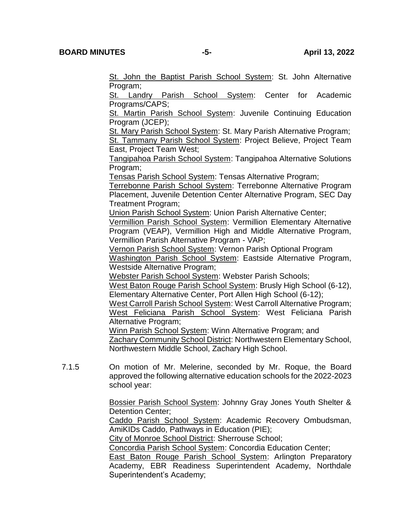St. John the Baptist Parish School System: St. John Alternative Program;

St. Landry Parish School System: Center for Academic Programs/CAPS;

St. Martin Parish School System: Juvenile Continuing Education Program (JCEP);

St. Mary Parish School System: St. Mary Parish Alternative Program; St. Tammany Parish School System: Project Believe, Project Team East, Project Team West;

Tangipahoa Parish School System: Tangipahoa Alternative Solutions Program;

Tensas Parish School System: Tensas Alternative Program;

Terrebonne Parish School System: Terrebonne Alternative Program Placement, Juvenile Detention Center Alternative Program, SEC Day Treatment Program;

Union Parish School System: Union Parish Alternative Center;

Vermillion Parish School System: Vermillion Elementary Alternative Program (VEAP), Vermillion High and Middle Alternative Program, Vermillion Parish Alternative Program - VAP;

Vernon Parish School System: Vernon Parish Optional Program Washington Parish School System: Eastside Alternative Program, Westside Alternative Program;

Webster Parish School System: Webster Parish Schools;

West Baton Rouge Parish School System: Brusly High School (6-12), Elementary Alternative Center, Port Allen High School (6-12);

West Carroll Parish School System: West Carroll Alternative Program; West Feliciana Parish School System: West Feliciana Parish Alternative Program;

Winn Parish School System: Winn Alternative Program; and **Zachary Community School District: Northwestern Elementary School.** Northwestern Middle School, Zachary High School.

7.1.5 On motion of Mr. Melerine, seconded by Mr. Roque, the Board approved the following alternative education schools for the 2022-2023 school year:

> Bossier Parish School System: Johnny Gray Jones Youth Shelter & Detention Center;

> Caddo Parish School System: Academic Recovery Ombudsman, AmiKIDs Caddo, Pathways in Education (PIE);

City of Monroe School District: Sherrouse School;

Concordia Parish School System: Concordia Education Center;

**East Baton Rouge Parish School System: Arlington Preparatory** Academy, EBR Readiness Superintendent Academy, Northdale Superintendent's Academy;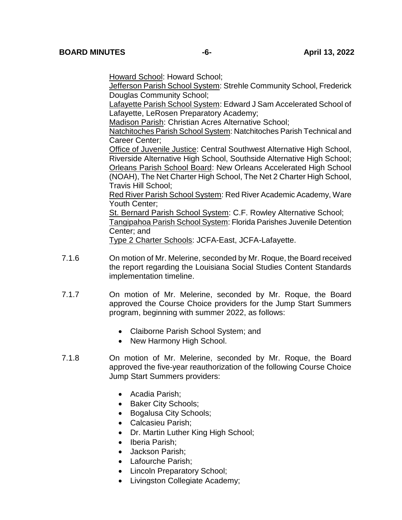Howard School: Howard School;

Jefferson Parish School System: Strehle Community School, Frederick Douglas Community School;

Lafayette Parish School System: Edward J Sam Accelerated School of Lafayette, LeRosen Preparatory Academy;

Madison Parish: Christian Acres Alternative School;

Natchitoches Parish School System: Natchitoches Parish Technical and Career Center;

**Office of Juvenile Justice: Central Southwest Alternative High School,** Riverside Alternative High School, Southside Alternative High School; Orleans Parish School Board: New Orleans Accelerated High School (NOAH), The Net Charter High School, The Net 2 Charter High School, Travis Hill School;

Red River Parish School System: Red River Academic Academy, Ware Youth Center;

St. Bernard Parish School System: C.F. Rowley Alternative School; Tangipahoa Parish School System: Florida Parishes Juvenile Detention Center; and

Type 2 Charter Schools: JCFA-East, JCFA-Lafayette.

- 7.1.6 On motion of Mr. Melerine, seconded by Mr. Roque, the Board received the report regarding the Louisiana Social Studies Content Standards implementation timeline.
- 7.1.7 On motion of Mr. Melerine, seconded by Mr. Roque, the Board approved the Course Choice providers for the Jump Start Summers program, beginning with summer 2022, as follows:
	- Claiborne Parish School System; and
	- New Harmony High School.
- 7.1.8 On motion of Mr. Melerine, seconded by Mr. Roque, the Board approved the five-year reauthorization of the following Course Choice Jump Start Summers providers:
	- Acadia Parish;
	- Baker City Schools;
	- Bogalusa City Schools;
	- Calcasieu Parish;
	- Dr. Martin Luther King High School;
	- Iberia Parish:
	- Jackson Parish:
	- Lafourche Parish:
	- Lincoln Preparatory School;
	- Livingston Collegiate Academy;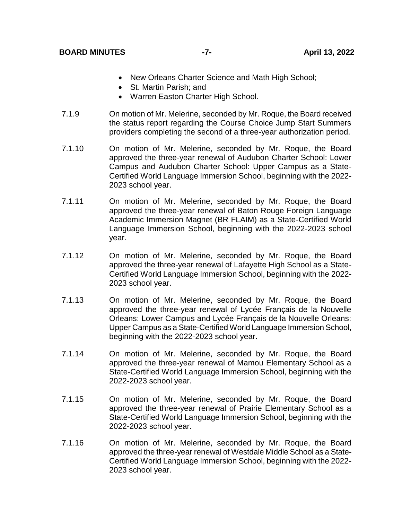- New Orleans Charter Science and Math High School;
- St. Martin Parish; and
- Warren Easton Charter High School.
- 7.1.9 On motion of Mr. Melerine, seconded by Mr. Roque, the Board received the status report regarding the Course Choice Jump Start Summers providers completing the second of a three-year authorization period.
- 7.1.10 On motion of Mr. Melerine, seconded by Mr. Roque, the Board approved the three-year renewal of Audubon Charter School: Lower Campus and Audubon Charter School: Upper Campus as a State-Certified World Language Immersion School, beginning with the 2022- 2023 school year.
- 7.1.11 On motion of Mr. Melerine, seconded by Mr. Roque, the Board approved the three-year renewal of Baton Rouge Foreign Language Academic Immersion Magnet (BR FLAIM) as a State-Certified World Language Immersion School, beginning with the 2022-2023 school year.
- 7.1.12 On motion of Mr. Melerine, seconded by Mr. Roque, the Board approved the three-year renewal of Lafayette High School as a State-Certified World Language Immersion School, beginning with the 2022- 2023 school year.
- 7.1.13 On motion of Mr. Melerine, seconded by Mr. Roque, the Board approved the three-year renewal of Lycée Français de la Nouvelle Orleans: Lower Campus and Lycée Français de la Nouvelle Orleans: Upper Campus as a State-Certified World Language Immersion School, beginning with the 2022-2023 school year.
- 7.1.14 On motion of Mr. Melerine, seconded by Mr. Roque, the Board approved the three-year renewal of Mamou Elementary School as a State-Certified World Language Immersion School, beginning with the 2022-2023 school year.
- 7.1.15 On motion of Mr. Melerine, seconded by Mr. Roque, the Board approved the three-year renewal of Prairie Elementary School as a State-Certified World Language Immersion School, beginning with the 2022-2023 school year.
- 7.1.16 On motion of Mr. Melerine, seconded by Mr. Roque, the Board approved the three-year renewal of Westdale Middle School as a State-Certified World Language Immersion School, beginning with the 2022- 2023 school year.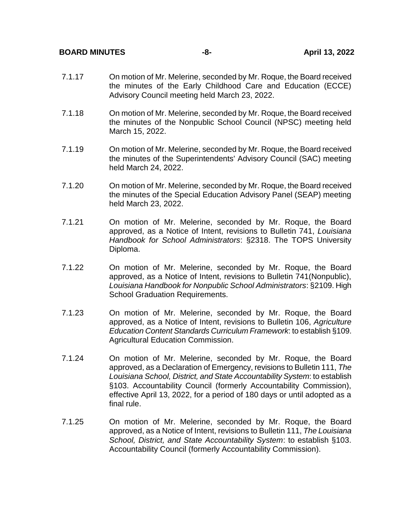#### **BOARD MINUTES -8- April 13, 2022**

- 7.1.17 On motion of Mr. Melerine, seconded by Mr. Roque, the Board received the minutes of the Early Childhood Care and Education (ECCE) Advisory Council meeting held March 23, 2022.
- 7.1.18 On motion of Mr. Melerine, seconded by Mr. Roque, the Board received the minutes of the Nonpublic School Council (NPSC) meeting held March 15, 2022.
- 7.1.19 On motion of Mr. Melerine, seconded by Mr. Roque, the Board received the minutes of the Superintendents' Advisory Council (SAC) meeting held March 24, 2022.
- 7.1.20 On motion of Mr. Melerine, seconded by Mr. Roque, the Board received the minutes of the Special Education Advisory Panel (SEAP) meeting held March 23, 2022.
- 7.1.21 On motion of Mr. Melerine, seconded by Mr. Roque, the Board approved, as a Notice of Intent, revisions to Bulletin 741, *Louisiana Handbook for School Administrators*: §2318. The TOPS University Diploma.
- 7.1.22 On motion of Mr. Melerine, seconded by Mr. Roque, the Board approved, as a Notice of Intent, revisions to Bulletin 741(Nonpublic), *Louisiana Handbook for Nonpublic School Administrators*: §2109. High School Graduation Requirements.
- 7.1.23 On motion of Mr. Melerine, seconded by Mr. Roque, the Board approved, as a Notice of Intent, revisions to Bulletin 106, *Agriculture Education Content Standards Curriculum Framework*: to establish §109. Agricultural Education Commission.
- 7.1.24 On motion of Mr. Melerine, seconded by Mr. Roque, the Board approved, as a Declaration of Emergency, revisions to Bulletin 111, *The Louisiana School, District, and State Accountability System*: to establish §103. Accountability Council (formerly Accountability Commission), effective April 13, 2022, for a period of 180 days or until adopted as a final rule.
- 7.1.25 On motion of Mr. Melerine, seconded by Mr. Roque, the Board approved, as a Notice of Intent, revisions to Bulletin 111, *The Louisiana School, District, and State Accountability System*: to establish §103. Accountability Council (formerly Accountability Commission).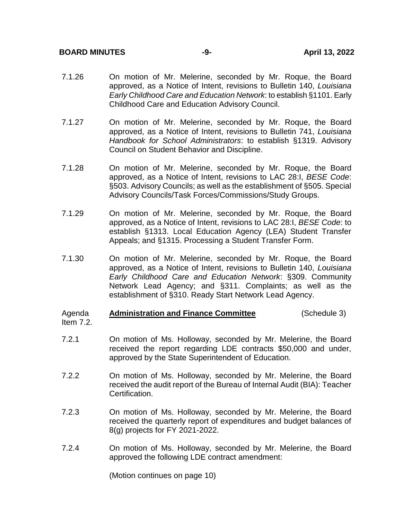#### **BOARD MINUTES -9- April 13, 2022**

- 7.1.26 On motion of Mr. Melerine, seconded by Mr. Roque, the Board approved, as a Notice of Intent, revisions to Bulletin 140, *Louisiana Early Childhood Care and Education Network*: to establish §1101. Early Childhood Care and Education Advisory Council.
- 7.1.27 On motion of Mr. Melerine, seconded by Mr. Roque, the Board approved, as a Notice of Intent, revisions to Bulletin 741, *Louisiana Handbook for School Administrators*: to establish §1319. Advisory Council on Student Behavior and Discipline.
- 7.1.28 On motion of Mr. Melerine, seconded by Mr. Roque, the Board approved, as a Notice of Intent, revisions to LAC 28:I, *BESE Code*: §503. Advisory Councils; as well as the establishment of §505. Special Advisory Councils/Task Forces/Commissions/Study Groups.
- 7.1.29 On motion of Mr. Melerine, seconded by Mr. Roque, the Board approved, as a Notice of Intent, revisions to LAC 28:I, *BESE Code*: to establish §1313. Local Education Agency (LEA) Student Transfer Appeals; and §1315. Processing a Student Transfer Form.
- 7.1.30 On motion of Mr. Melerine, seconded by Mr. Roque, the Board approved, as a Notice of Intent, revisions to Bulletin 140, *Louisiana Early Childhood Care and Education Network*: §309. Community Network Lead Agency; and §311. Complaints; as well as the establishment of §310. Ready Start Network Lead Agency.

#### Agenda Item 7.2. **Administration and Finance Committee** (Schedule 3)

- 7.2.1 On motion of Ms. Holloway, seconded by Mr. Melerine, the Board received the report regarding LDE contracts \$50,000 and under, approved by the State Superintendent of Education.
- 7.2.2 On motion of Ms. Holloway, seconded by Mr. Melerine, the Board received the audit report of the Bureau of Internal Audit (BIA): Teacher Certification.
- 7.2.3 On motion of Ms. Holloway, seconded by Mr. Melerine, the Board received the quarterly report of expenditures and budget balances of 8(g) projects for FY 2021-2022.
- 7.2.4 On motion of Ms. Holloway, seconded by Mr. Melerine, the Board approved the following LDE contract amendment:

(Motion continues on page 10)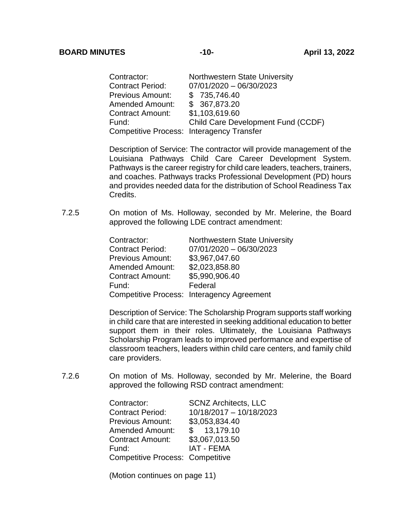| Contractor:             | Northwestern State University             |
|-------------------------|-------------------------------------------|
| <b>Contract Period:</b> | $07/01/2020 - 06/30/2023$                 |
| Previous Amount:        | \$735,746.40                              |
| Amended Amount:         | \$367,873.20                              |
| Contract Amount:        | \$1,103,619.60                            |
| Fund:                   | Child Care Development Fund (CCDF)        |
|                         | Competitive Process: Interagency Transfer |

Description of Service: The contractor will provide management of the Louisiana Pathways Child Care Career Development System. Pathways is the career registry for child care leaders, teachers, trainers, and coaches. Pathways tracks Professional Development (PD) hours and provides needed data for the distribution of School Readiness Tax Credits.

7.2.5 On motion of Ms. Holloway, seconded by Mr. Melerine, the Board approved the following LDE contract amendment:

| Contractor:             | Northwestern State University              |
|-------------------------|--------------------------------------------|
| <b>Contract Period:</b> | $07/01/2020 - 06/30/2023$                  |
| <b>Previous Amount:</b> | \$3,967,047.60                             |
| <b>Amended Amount:</b>  | \$2,023,858.80                             |
| <b>Contract Amount:</b> | \$5,990,906.40                             |
| Fund:                   | Federal                                    |
|                         | Competitive Process: Interagency Agreement |

Description of Service: The Scholarship Program supports staff working in child care that are interested in seeking additional education to better support them in their roles. Ultimately, the Louisiana Pathways Scholarship Program leads to improved performance and expertise of classroom teachers, leaders within child care centers, and family child care providers.

7.2.6 On motion of Ms. Holloway, seconded by Mr. Melerine, the Board approved the following RSD contract amendment:

| Contractor:                             | <b>SCNZ Architects, LLC</b> |
|-----------------------------------------|-----------------------------|
| <b>Contract Period:</b>                 | 10/18/2017 - 10/18/2023     |
| <b>Previous Amount:</b>                 | \$3,053,834.40              |
| <b>Amended Amount:</b>                  | \$ 13,179.10                |
| <b>Contract Amount:</b>                 | \$3,067,013.50              |
| Fund:                                   | <b>IAT - FEMA</b>           |
| <b>Competitive Process: Competitive</b> |                             |

(Motion continues on page 11)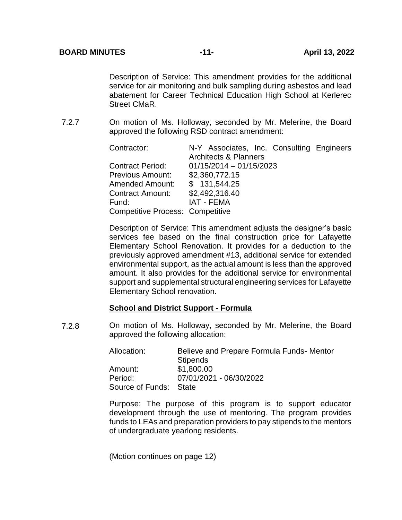Description of Service: This amendment provides for the additional service for air monitoring and bulk sampling during asbestos and lead abatement for Career Technical Education High School at Kerlerec Street CMaR.

7.2.7 On motion of Ms. Holloway, seconded by Mr. Melerine, the Board approved the following RSD contract amendment:

| Contractor:                             | N-Y Associates, Inc. Consulting Engineers |
|-----------------------------------------|-------------------------------------------|
|                                         | <b>Architects &amp; Planners</b>          |
| <b>Contract Period:</b>                 | $01/15/2014 - 01/15/2023$                 |
| <b>Previous Amount:</b>                 | \$2,360,772.15                            |
| <b>Amended Amount:</b>                  | \$131,544.25                              |
| <b>Contract Amount:</b>                 | \$2,492,316.40                            |
| Fund:                                   | <b>IAT - FEMA</b>                         |
| <b>Competitive Process: Competitive</b> |                                           |

Description of Service: This amendment adjusts the designer's basic services fee based on the final construction price for Lafayette Elementary School Renovation. It provides for a deduction to the previously approved amendment #13, additional service for extended environmental support, as the actual amount is less than the approved amount. It also provides for the additional service for environmental support and supplemental structural engineering services for Lafayette Elementary School renovation.

## **School and District Support - Formula**

7.2.8 On motion of Ms. Holloway, seconded by Mr. Melerine, the Board approved the following allocation:

| Allocation:            | Believe and Prepare Formula Funds- Mentor |
|------------------------|-------------------------------------------|
|                        | <b>Stipends</b>                           |
| Amount:                | \$1,800.00                                |
| Period:                | 07/01/2021 - 06/30/2022                   |
| Source of Funds: State |                                           |

Purpose: The purpose of this program is to support educator development through the use of mentoring. The program provides funds to LEAs and preparation providers to pay stipends to the mentors of undergraduate yearlong residents.

(Motion continues on page 12)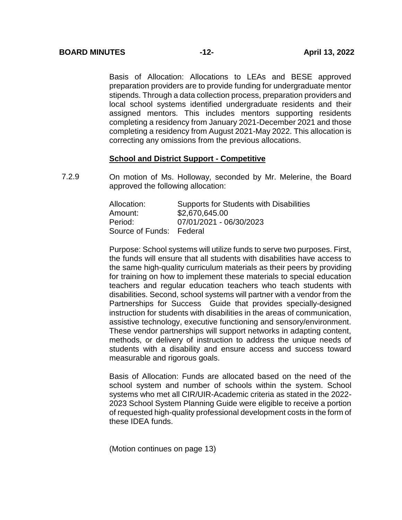Basis of Allocation: Allocations to LEAs and BESE approved preparation providers are to provide funding for undergraduate mentor stipends. Through a data collection process, preparation providers and local school systems identified undergraduate residents and their assigned mentors. This includes mentors supporting residents completing a residency from January 2021-December 2021 and those completing a residency from August 2021-May 2022. This allocation is correcting any omissions from the previous allocations.

## **School and District Support - Competitive**

7.2.9 On motion of Ms. Holloway, seconded by Mr. Melerine, the Board approved the following allocation:

| Allocation:              | <b>Supports for Students with Disabilities</b> |
|--------------------------|------------------------------------------------|
| Amount:                  | \$2,670,645.00                                 |
| Period:                  | 07/01/2021 - 06/30/2023                        |
| Source of Funds: Federal |                                                |

Purpose: School systems will utilize funds to serve two purposes. First, the funds will ensure that all students with disabilities have access to the same high-quality curriculum materials as their peers by providing for training on how to implement these materials to special education teachers and regular education teachers who teach students with disabilities. Second, school systems will partner with a vendor from the Partnerships for Success Guide that provides specially-designed instruction for students with disabilities in the areas of communication, assistive technology, executive functioning and sensory/environment. These vendor partnerships will support networks in adapting content, methods, or delivery of instruction to address the unique needs of students with a disability and ensure access and success toward measurable and rigorous goals.

Basis of Allocation: Funds are allocated based on the need of the school system and number of schools within the system. School systems who met all CIR/UIR-Academic criteria as stated in the 2022- 2023 School System Planning Guide were eligible to receive a portion of requested high-quality professional development costs in the form of these IDEA funds.

(Motion continues on page 13)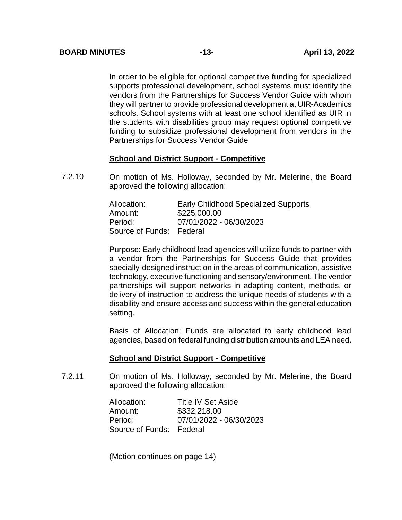In order to be eligible for optional competitive funding for specialized supports professional development, school systems must identify the vendors from the Partnerships for Success Vendor Guide with whom they will partner to provide professional development at UIR-Academics schools. School systems with at least one school identified as UIR in the students with disabilities group may request optional competitive funding to subsidize professional development from vendors in the Partnerships for Success Vendor Guide

## **School and District Support - Competitive**

7.2.10 On motion of Ms. Holloway, seconded by Mr. Melerine, the Board approved the following allocation:

| Allocation:              | <b>Early Childhood Specialized Supports</b> |
|--------------------------|---------------------------------------------|
| Amount:                  | \$225,000.00                                |
| Period:                  | 07/01/2022 - 06/30/2023                     |
| Source of Funds: Federal |                                             |

Purpose: Early childhood lead agencies will utilize funds to partner with a vendor from the Partnerships for Success Guide that provides specially-designed instruction in the areas of communication, assistive technology, executive functioning and sensory/environment. The vendor partnerships will support networks in adapting content, methods, or delivery of instruction to address the unique needs of students with a disability and ensure access and success within the general education setting.

Basis of Allocation: Funds are allocated to early childhood lead agencies, based on federal funding distribution amounts and LEA need.

#### **School and District Support - Competitive**

7.2.11 On motion of Ms. Holloway, seconded by Mr. Melerine, the Board approved the following allocation:

| Allocation:              | <b>Title IV Set Aside</b> |
|--------------------------|---------------------------|
| Amount:                  | \$332,218.00              |
| Period:                  | 07/01/2022 - 06/30/2023   |
| Source of Funds: Federal |                           |

(Motion continues on page 14)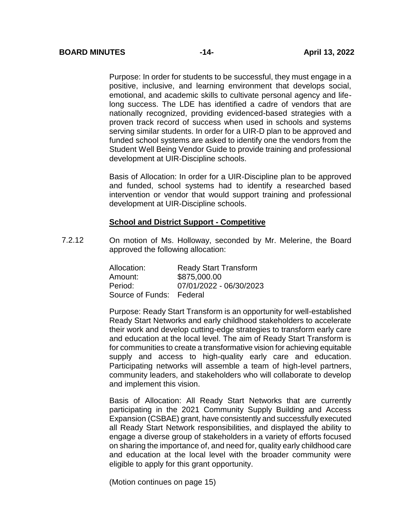Purpose: In order for students to be successful, they must engage in a positive, inclusive, and learning environment that develops social, emotional, and academic skills to cultivate personal agency and lifelong success. The LDE has identified a cadre of vendors that are nationally recognized, providing evidenced-based strategies with a proven track record of success when used in schools and systems serving similar students. In order for a UIR-D plan to be approved and funded school systems are asked to identify one the vendors from the Student Well Being Vendor Guide to provide training and professional development at UIR-Discipline schools.

Basis of Allocation: In order for a UIR-Discipline plan to be approved and funded, school systems had to identify a researched based intervention or vendor that would support training and professional development at UIR-Discipline schools.

#### **School and District Support - Competitive**

7.2.12 On motion of Ms. Holloway, seconded by Mr. Melerine, the Board approved the following allocation:

| Allocation:              | <b>Ready Start Transform</b> |
|--------------------------|------------------------------|
| Amount:                  | \$875,000.00                 |
| Period:                  | 07/01/2022 - 06/30/2023      |
| Source of Funds: Federal |                              |

Purpose: Ready Start Transform is an opportunity for well-established Ready Start Networks and early childhood stakeholders to accelerate their work and develop cutting-edge strategies to transform early care and education at the local level. The aim of Ready Start Transform is for communities to create a transformative vision for achieving equitable supply and access to high-quality early care and education. Participating networks will assemble a team of high-level partners, community leaders, and stakeholders who will collaborate to develop and implement this vision.

Basis of Allocation: All Ready Start Networks that are currently participating in the 2021 Community Supply Building and Access Expansion (CSBAE) grant, have consistently and successfully executed all Ready Start Network responsibilities, and displayed the ability to engage a diverse group of stakeholders in a variety of efforts focused on sharing the importance of, and need for, quality early childhood care and education at the local level with the broader community were eligible to apply for this grant opportunity.

(Motion continues on page 15)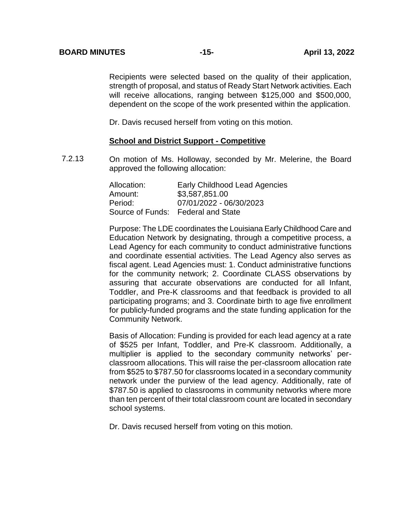Recipients were selected based on the quality of their application, strength of proposal, and status of Ready Start Network activities. Each will receive allocations, ranging between \$125,000 and \$500,000, dependent on the scope of the work presented within the application.

Dr. Davis recused herself from voting on this motion.

#### **School and District Support - Competitive**

7.2.13 On motion of Ms. Holloway, seconded by Mr. Melerine, the Board approved the following allocation:

| Allocation: | <b>Early Childhood Lead Agencies</b> |
|-------------|--------------------------------------|
| Amount:     | \$3,587,851.00                       |
| Period:     | 07/01/2022 - 06/30/2023              |
|             | Source of Funds: Federal and State   |

Purpose: The LDE coordinates the Louisiana Early Childhood Care and Education Network by designating, through a competitive process, a Lead Agency for each community to conduct administrative functions and coordinate essential activities. The Lead Agency also serves as fiscal agent. Lead Agencies must: 1. Conduct administrative functions for the community network; 2. Coordinate CLASS observations by assuring that accurate observations are conducted for all Infant, Toddler, and Pre-K classrooms and that feedback is provided to all participating programs; and 3. Coordinate birth to age five enrollment for publicly-funded programs and the state funding application for the Community Network.

Basis of Allocation: Funding is provided for each lead agency at a rate of \$525 per Infant, Toddler, and Pre-K classroom. Additionally, a multiplier is applied to the secondary community networks' perclassroom allocations. This will raise the per-classroom allocation rate from \$525 to \$787.50 for classrooms located in a secondary community network under the purview of the lead agency. Additionally, rate of \$787.50 is applied to classrooms in community networks where more than ten percent of their total classroom count are located in secondary school systems.

Dr. Davis recused herself from voting on this motion.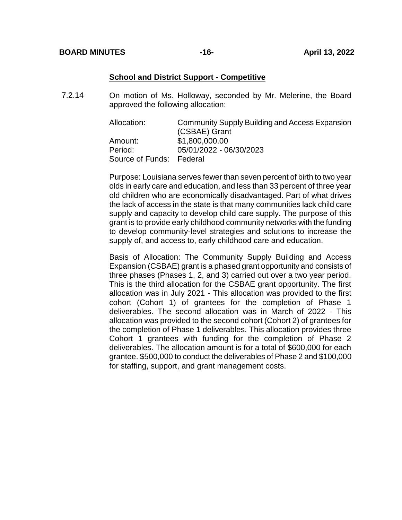#### **School and District Support - Competitive**

7.2.14 On motion of Ms. Holloway, seconded by Mr. Melerine, the Board approved the following allocation:

| Allocation:              | Community Supply Building and Access Expansion |
|--------------------------|------------------------------------------------|
|                          | (CSBAE) Grant                                  |
| Amount:                  | \$1,800,000.00                                 |
| Period:                  | 05/01/2022 - 06/30/2023                        |
| Source of Funds: Federal |                                                |

Purpose: Louisiana serves fewer than seven percent of birth to two year olds in early care and education, and less than 33 percent of three year old children who are economically disadvantaged. Part of what drives the lack of access in the state is that many communities lack child care supply and capacity to develop child care supply. The purpose of this grant is to provide early childhood community networks with the funding to develop community-level strategies and solutions to increase the supply of, and access to, early childhood care and education.

Basis of Allocation: The Community Supply Building and Access Expansion (CSBAE) grant is a phased grant opportunity and consists of three phases (Phases 1, 2, and 3) carried out over a two year period. This is the third allocation for the CSBAE grant opportunity. The first allocation was in July 2021 - This allocation was provided to the first cohort (Cohort 1) of grantees for the completion of Phase 1 deliverables. The second allocation was in March of 2022 - This allocation was provided to the second cohort (Cohort 2) of grantees for the completion of Phase 1 deliverables. This allocation provides three Cohort 1 grantees with funding for the completion of Phase 2 deliverables. The allocation amount is for a total of \$600,000 for each grantee. \$500,000 to conduct the deliverables of Phase 2 and \$100,000 for staffing, support, and grant management costs.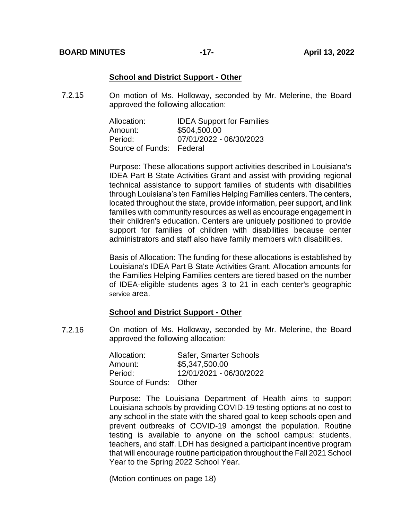#### **School and District Support - Other**

7.2.15 On motion of Ms. Holloway, seconded by Mr. Melerine, the Board approved the following allocation:

| Allocation:              | <b>IDEA Support for Families</b> |
|--------------------------|----------------------------------|
| Amount:                  | \$504,500.00                     |
| Period:                  | 07/01/2022 - 06/30/2023          |
| Source of Funds: Federal |                                  |

Purpose: These allocations support activities described in Louisiana's IDEA Part B State Activities Grant and assist with providing regional technical assistance to support families of students with disabilities through Louisiana's ten Families Helping Families centers. The centers, located throughout the state, provide information, peer support, and link families with community resources as well as encourage engagement in their children's education. Centers are uniquely positioned to provide support for families of children with disabilities because center administrators and staff also have family members with disabilities.

Basis of Allocation: The funding for these allocations is established by Louisiana's IDEA Part B State Activities Grant. Allocation amounts for the Families Helping Families centers are tiered based on the number of IDEA-eligible students ages 3 to 21 in each center's geographic service area.

#### **School and District Support - Other**

7.2.16 On motion of Ms. Holloway, seconded by Mr. Melerine, the Board approved the following allocation:

| Allocation:            | Safer, Smarter Schools  |
|------------------------|-------------------------|
| Amount:                | \$5,347,500.00          |
| Period:                | 12/01/2021 - 06/30/2022 |
| Source of Funds: Other |                         |

Purpose: The Louisiana Department of Health aims to support Louisiana schools by providing COVID-19 testing options at no cost to any school in the state with the shared goal to keep schools open and prevent outbreaks of COVID-19 amongst the population. Routine testing is available to anyone on the school campus: students, teachers, and staff. LDH has designed a participant incentive program that will encourage routine participation throughout the Fall 2021 School Year to the Spring 2022 School Year.

(Motion continues on page 18)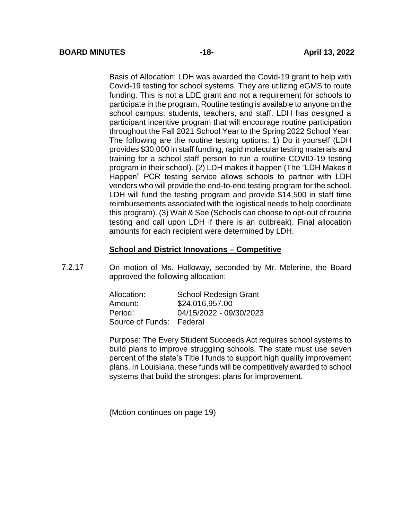Basis of Allocation: LDH was awarded the Covid-19 grant to help with Covid-19 testing for school systems. They are utilizing eGMS to route funding. This is not a LDE grant and not a requirement for schools to participate in the program. Routine testing is available to anyone on the school campus: students, teachers, and staff. LDH has designed a participant incentive program that will encourage routine participation throughout the Fall 2021 School Year to the Spring 2022 School Year. The following are the routine testing options: 1) Do it yourself (LDH provides \$30,000 in staff funding, rapid molecular testing materials and training for a school staff person to run a routine COVID-19 testing program in their school). (2) LDH makes it happen (The "LDH Makes it Happen" PCR testing service allows schools to partner with LDH vendors who will provide the end-to-end testing program for the school. LDH will fund the testing program and provide \$14,500 in staff time reimbursements associated with the logistical needs to help coordinate this program). (3) Wait & See (Schools can choose to opt-out of routine testing and call upon LDH if there is an outbreak). Final allocation amounts for each recipient were determined by LDH.

## **School and District Innovations – Competitive**

7.2.17 On motion of Ms. Holloway, seconded by Mr. Melerine, the Board approved the following allocation:

| Allocation:              | <b>School Redesign Grant</b> |
|--------------------------|------------------------------|
| Amount:                  | \$24,016,957.00              |
| Period:                  | 04/15/2022 - 09/30/2023      |
| Source of Funds: Federal |                              |

Purpose: The Every Student Succeeds Act requires school systems to build plans to improve struggling schools. The state must use seven percent of the state's Title I funds to support high quality improvement plans. In Louisiana, these funds will be competitively awarded to school systems that build the strongest plans for improvement.

(Motion continues on page 19)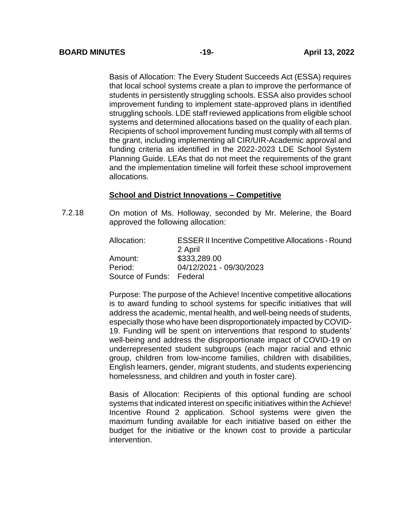Basis of Allocation: The Every Student Succeeds Act (ESSA) requires that local school systems create a plan to improve the performance of students in persistently struggling schools. ESSA also provides school improvement funding to implement state-approved plans in identified struggling schools. LDE staff reviewed applications from eligible school systems and determined allocations based on the quality of each plan. Recipients of school improvement funding must comply with all terms of the grant, including implementing all CIR/UIR-Academic approval and funding criteria as identified in the 2022-2023 LDE School System Planning Guide. LEAs that do not meet the requirements of the grant and the implementation timeline will forfeit these school improvement allocations.

## **School and District Innovations – Competitive**

7.2.18 On motion of Ms. Holloway, seconded by Mr. Melerine, the Board approved the following allocation:

> Allocation: ESSER II Incentive Competitive Allocations - Round 2 April Amount: \$333,289.00 Period: 04/12/2021 - 09/30/2023 Source of Funds: Federal

> Purpose: The purpose of the Achieve! Incentive competitive allocations is to award funding to school systems for specific initiatives that will address the academic, mental health, and well-being needs of students, especially those who have been disproportionately impacted by COVID-19. Funding will be spent on interventions that respond to students' well-being and address the disproportionate impact of COVID-19 on underrepresented student subgroups (each major racial and ethnic group, children from low-income families, children with disabilities, English learners, gender, migrant students, and students experiencing homelessness, and children and youth in foster care).

> Basis of Allocation: Recipients of this optional funding are school systems that indicated interest on specific initiatives within the Achieve! Incentive Round 2 application. School systems were given the maximum funding available for each initiative based on either the budget for the initiative or the known cost to provide a particular intervention.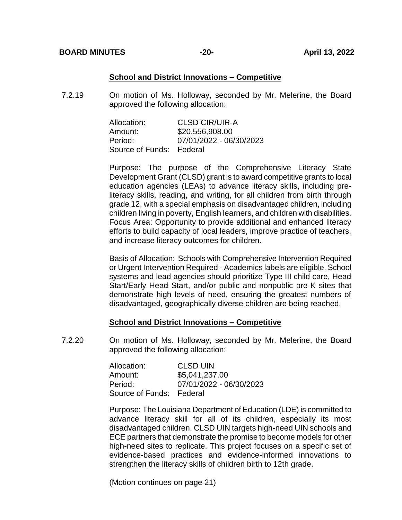#### **School and District Innovations – Competitive**

7.2.19 On motion of Ms. Holloway, seconded by Mr. Melerine, the Board approved the following allocation:

| Allocation:              | <b>CLSD CIR/UIR-A</b>   |
|--------------------------|-------------------------|
| Amount:                  | \$20,556,908.00         |
| Period:                  | 07/01/2022 - 06/30/2023 |
| Source of Funds: Federal |                         |

Purpose: The purpose of the Comprehensive Literacy State Development Grant (CLSD) grant is to award competitive grants to local education agencies (LEAs) to advance literacy skills, including preliteracy skills, reading, and writing, for all children from birth through grade 12, with a special emphasis on disadvantaged children, including children living in poverty, English learners, and children with disabilities. Focus Area: Opportunity to provide additional and enhanced literacy efforts to build capacity of local leaders, improve practice of teachers, and increase literacy outcomes for children.

Basis of Allocation: Schools with Comprehensive Intervention Required or Urgent Intervention Required - Academics labels are eligible. School systems and lead agencies should prioritize Type III child care, Head Start/Early Head Start, and/or public and nonpublic pre-K sites that demonstrate high levels of need, ensuring the greatest numbers of disadvantaged, geographically diverse children are being reached.

## **School and District Innovations – Competitive**

7.2.20 On motion of Ms. Holloway, seconded by Mr. Melerine, the Board approved the following allocation:

| Allocation:              | <b>CLSD UIN</b>         |
|--------------------------|-------------------------|
| Amount:                  | \$5,041,237.00          |
| Period:                  | 07/01/2022 - 06/30/2023 |
| Source of Funds: Federal |                         |

Purpose: The Louisiana Department of Education (LDE) is committed to advance literacy skill for all of its children, especially its most disadvantaged children. CLSD UIN targets high-need UIN schools and ECE partners that demonstrate the promise to become models for other high-need sites to replicate. This project focuses on a specific set of evidence-based practices and evidence-informed innovations to strengthen the literacy skills of children birth to 12th grade.

(Motion continues on page 21)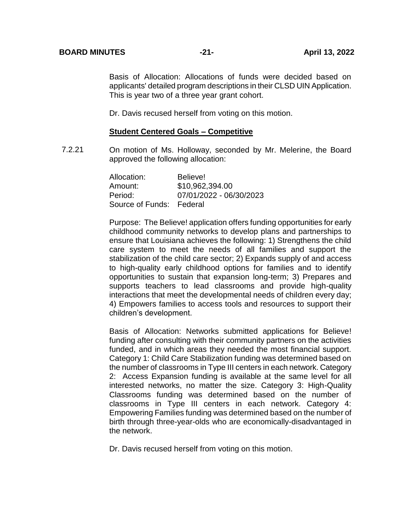Basis of Allocation: Allocations of funds were decided based on applicants' detailed program descriptions in their CLSD UIN Application. This is year two of a three year grant cohort.

Dr. Davis recused herself from voting on this motion.

#### **Student Centered Goals – Competitive**

7.2.21 On motion of Ms. Holloway, seconded by Mr. Melerine, the Board approved the following allocation:

| Allocation:              | Believe!                |
|--------------------------|-------------------------|
| Amount:                  | \$10,962,394.00         |
| Period:                  | 07/01/2022 - 06/30/2023 |
| Source of Funds: Federal |                         |

Purpose: The Believe! application offers funding opportunities for early childhood community networks to develop plans and partnerships to ensure that Louisiana achieves the following: 1) Strengthens the child care system to meet the needs of all families and support the stabilization of the child care sector; 2) Expands supply of and access to high-quality early childhood options for families and to identify opportunities to sustain that expansion long-term; 3) Prepares and supports teachers to lead classrooms and provide high-quality interactions that meet the developmental needs of children every day; 4) Empowers families to access tools and resources to support their children's development.

Basis of Allocation: Networks submitted applications for Believe! funding after consulting with their community partners on the activities funded, and in which areas they needed the most financial support. Category 1: Child Care Stabilization funding was determined based on the number of classrooms in Type III centers in each network. Category 2: Access Expansion funding is available at the same level for all interested networks, no matter the size. Category 3: High-Quality Classrooms funding was determined based on the number of classrooms in Type III centers in each network. Category 4: Empowering Families funding was determined based on the number of birth through three-year-olds who are economically-disadvantaged in the network.

Dr. Davis recused herself from voting on this motion.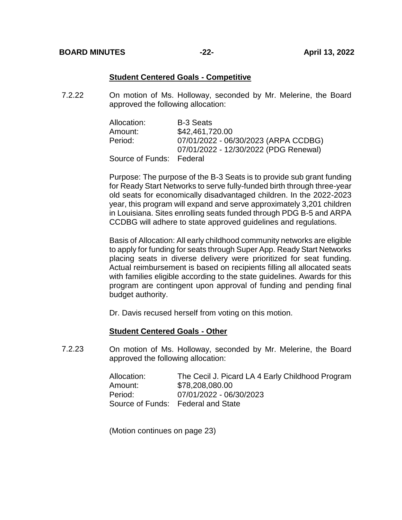#### **Student Centered Goals - Competitive**

7.2.22 On motion of Ms. Holloway, seconded by Mr. Melerine, the Board approved the following allocation:

| Allocation:              | <b>B-3 Seats</b>                      |
|--------------------------|---------------------------------------|
| Amount:                  | \$42,461,720.00                       |
| Period:                  | 07/01/2022 - 06/30/2023 (ARPA CCDBG)  |
|                          | 07/01/2022 - 12/30/2022 (PDG Renewal) |
| Source of Funds: Federal |                                       |

Purpose: The purpose of the B-3 Seats is to provide sub grant funding for Ready Start Networks to serve fully-funded birth through three-year old seats for economically disadvantaged children. In the 2022-2023 year, this program will expand and serve approximately 3,201 children in Louisiana. Sites enrolling seats funded through PDG B-5 and ARPA CCDBG will adhere to state approved guidelines and regulations.

Basis of Allocation: All early childhood community networks are eligible to apply for funding for seats through Super App. Ready Start Networks placing seats in diverse delivery were prioritized for seat funding. Actual reimbursement is based on recipients filling all allocated seats with families eligible according to the state guidelines. Awards for this program are contingent upon approval of funding and pending final budget authority.

Dr. Davis recused herself from voting on this motion.

#### **Student Centered Goals - Other**

7.23 On motion of Ms. Holloway, seconded by Mr. Melerine, the Board approved the following allocation:

| Allocation: | The Cecil J. Picard LA 4 Early Childhood Program |
|-------------|--------------------------------------------------|
| Amount:     | \$78,208,080.00                                  |
| Period:     | 07/01/2022 - 06/30/2023                          |
|             | Source of Funds: Federal and State               |

(Motion continues on page 23)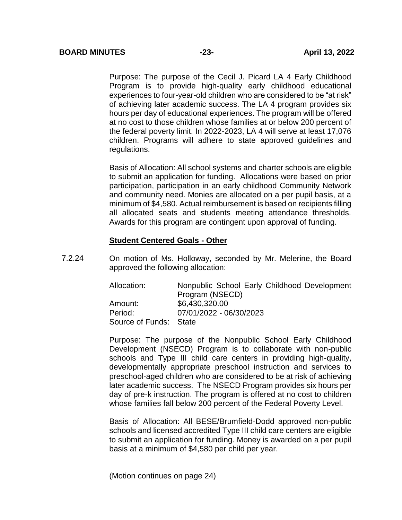Purpose: The purpose of the Cecil J. Picard LA 4 Early Childhood Program is to provide high-quality early childhood educational experiences to four-year-old children who are considered to be "at risk" of achieving later academic success. The LA 4 program provides six hours per day of educational experiences. The program will be offered at no cost to those children whose families at or below 200 percent of the federal poverty limit. In 2022-2023, LA 4 will serve at least 17,076 children. Programs will adhere to state approved guidelines and regulations.

Basis of Allocation: All school systems and charter schools are eligible to submit an application for funding. Allocations were based on prior participation, participation in an early childhood Community Network and community need. Monies are allocated on a per pupil basis, at a minimum of \$4,580. Actual reimbursement is based on recipients filling all allocated seats and students meeting attendance thresholds. Awards for this program are contingent upon approval of funding.

#### **Student Centered Goals - Other**

7.2.24 On motion of Ms. Holloway, seconded by Mr. Melerine, the Board approved the following allocation:

> Allocation: Nonpublic School Early Childhood Development Program (NSECD) Amount: \$6,430,320.00 Period: 07/01/2022 - 06/30/2023 Source of Funds: State

> Purpose: The purpose of the Nonpublic School Early Childhood Development (NSECD) Program is to collaborate with non-public schools and Type III child care centers in providing high-quality, developmentally appropriate preschool instruction and services to preschool-aged children who are considered to be at risk of achieving later academic success. The NSECD Program provides six hours per day of pre-k instruction. The program is offered at no cost to children whose families fall below 200 percent of the Federal Poverty Level.

> Basis of Allocation: All BESE/Brumfield-Dodd approved non-public schools and licensed accredited Type III child care centers are eligible to submit an application for funding. Money is awarded on a per pupil basis at a minimum of \$4,580 per child per year.

(Motion continues on page 24)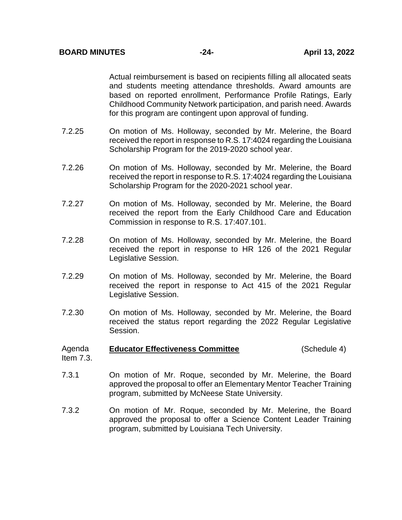Actual reimbursement is based on recipients filling all allocated seats and students meeting attendance thresholds. Award amounts are based on reported enrollment, Performance Profile Ratings, Early Childhood Community Network participation, and parish need. Awards for this program are contingent upon approval of funding.

- 7.2.25 On motion of Ms. Holloway, seconded by Mr. Melerine, the Board received the report in response to R.S. 17:4024 regarding the Louisiana Scholarship Program for the 2019-2020 school year.
- 7.2.26 On motion of Ms. Holloway, seconded by Mr. Melerine, the Board received the report in response to R.S. 17:4024 regarding the Louisiana Scholarship Program for the 2020-2021 school year.
- 7.2.27 On motion of Ms. Holloway, seconded by Mr. Melerine, the Board received the report from the Early Childhood Care and Education Commission in response to R.S. 17:407.101.
- 7.2.28 On motion of Ms. Holloway, seconded by Mr. Melerine, the Board received the report in response to HR 126 of the 2021 Regular Legislative Session.
- 7.2.29 On motion of Ms. Holloway, seconded by Mr. Melerine, the Board received the report in response to Act 415 of the 2021 Regular Legislative Session.
- 7.2.30 On motion of Ms. Holloway, seconded by Mr. Melerine, the Board received the status report regarding the 2022 Regular Legislative Session.

#### Agenda **Educator Effectiveness Committee** (Schedule 4)

- Item 7.3.
- 7.3.1 On motion of Mr. Roque, seconded by Mr. Melerine, the Board approved the proposal to offer an Elementary Mentor Teacher Training program, submitted by McNeese State University.
- 7.3.2 On motion of Mr. Roque, seconded by Mr. Melerine, the Board approved the proposal to offer a Science Content Leader Training program, submitted by Louisiana Tech University.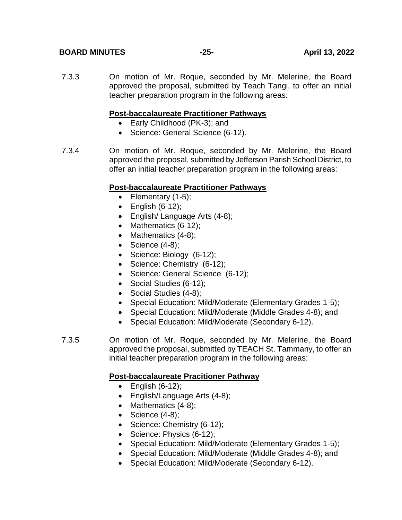## **BOARD MINUTES -25- April 13, 2022**

7.3.3 On motion of Mr. Roque, seconded by Mr. Melerine, the Board approved the proposal, submitted by Teach Tangi, to offer an initial teacher preparation program in the following areas:

## **Post-baccalaureate Practitioner Pathways**

- Early Childhood (PK-3); and
- Science: General Science (6-12).
- 7.3.4 On motion of Mr. Roque, seconded by Mr. Melerine, the Board approved the proposal, submitted by Jefferson Parish School District, to offer an initial teacher preparation program in the following areas:

## **Post-baccalaureate Practitioner Pathways**

- $\bullet$  Elementary (1-5);
- $\bullet$  English (6-12);
- English/ Language Arts (4-8);
- Mathematics (6-12);
- Mathematics (4-8);
- $\bullet$  Science (4-8);
- Science: Biology (6-12);
- Science: Chemistry (6-12);
- Science: General Science (6-12);
- Social Studies (6-12);
- Social Studies (4-8);
- Special Education: Mild/Moderate (Elementary Grades 1-5);
- Special Education: Mild/Moderate (Middle Grades 4-8); and
- Special Education: Mild/Moderate (Secondary 6-12).
- 7.3.5 On motion of Mr. Roque, seconded by Mr. Melerine, the Board approved the proposal, submitted by TEACH St. Tammany, to offer an initial teacher preparation program in the following areas:

## **Post-baccalaureate Pracitioner Pathway**

- $\bullet$  English (6-12);
- English/Language Arts (4-8);
- Mathematics (4-8);
- $\bullet$  Science (4-8);
- Science: Chemistry (6-12);
- Science: Physics (6-12);
- Special Education: Mild/Moderate (Elementary Grades 1-5);
- Special Education: Mild/Moderate (Middle Grades 4-8); and
- Special Education: Mild/Moderate (Secondary 6-12).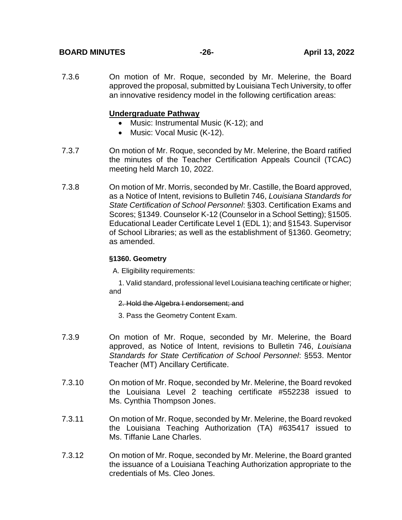## **BOARD MINUTES -26- April 13, 2022**

7.3.6 On motion of Mr. Roque, seconded by Mr. Melerine, the Board approved the proposal, submitted by Louisiana Tech University, to offer an innovative residency model in the following certification areas:

## **Undergraduate Pathway**

- Music: Instrumental Music (K-12); and
- Music: Vocal Music (K-12).
- 7.3.7 On motion of Mr. Roque, seconded by Mr. Melerine, the Board ratified the minutes of the Teacher Certification Appeals Council (TCAC) meeting held March 10, 2022.
- 7.3.8 On motion of Mr. Morris, seconded by Mr. Castille, the Board approved, as a Notice of Intent, revisions to Bulletin 746, *Louisiana Standards for State Certification of School Personnel*: §303. Certification Exams and Scores; §1349. Counselor K-12 (Counselor in a School Setting); §1505. Educational Leader Certificate Level 1 (EDL 1); and §1543. Supervisor of School Libraries; as well as the establishment of §1360. Geometry; as amended.

#### **§1360. Geometry**

A. Eligibility requirements:

1. Valid standard, professional level Louisiana teaching certificate or higher; and

#### 2. Hold the Algebra I endorsement; and

- 3. Pass the Geometry Content Exam.
- 7.3.9 On motion of Mr. Roque, seconded by Mr. Melerine, the Board approved, as Notice of Intent, revisions to Bulletin 746, *Louisiana Standards for State Certification of School Personnel*: §553. Mentor Teacher (MT) Ancillary Certificate.
- 7.3.10 On motion of Mr. Roque, seconded by Mr. Melerine, the Board revoked the Louisiana Level 2 teaching certificate #552238 issued to Ms. Cynthia Thompson Jones.
- 7.3.11 On motion of Mr. Roque, seconded by Mr. Melerine, the Board revoked the Louisiana Teaching Authorization (TA) #635417 issued to Ms. Tiffanie Lane Charles.
- 7.3.12 On motion of Mr. Roque, seconded by Mr. Melerine, the Board granted the issuance of a Louisiana Teaching Authorization appropriate to the credentials of Ms. Cleo Jones.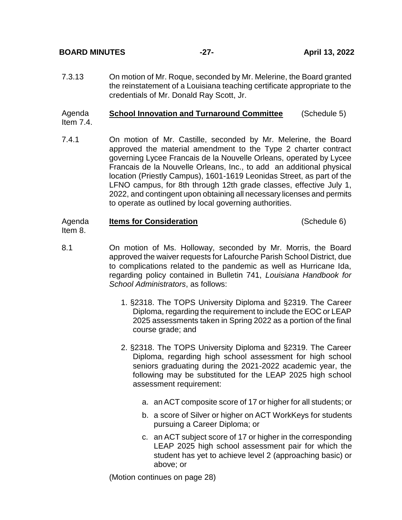**BOARD MINUTES -27- April 13, 2022**

7.3.13 On motion of Mr. Roque, seconded by Mr. Melerine, the Board granted the reinstatement of a Louisiana teaching certificate appropriate to the credentials of Mr. Donald Ray Scott, Jr.

#### Agenda Item 7.4. **School Innovation and Turnaround Committee** (Schedule 5)

7.4.1 On motion of Mr. Castille, seconded by Mr. Melerine, the Board approved the material amendment to the Type 2 charter contract governing Lycee Francais de la Nouvelle Orleans, operated by Lycee Francais de la Nouvelle Orleans, Inc., to add an additional physical location (Priestly Campus), 1601-1619 Leonidas Street, as part of the LFNO campus, for 8th through 12th grade classes, effective July 1, 2022, and contingent upon obtaining all necessary licenses and permits to operate as outlined by local governing authorities.

#### Agenda Item 8. **Items for Consideration** (Schedule 6)

- 8.1 On motion of Ms. Holloway, seconded by Mr. Morris, the Board approved the waiver requests for Lafourche Parish School District, due to complications related to the pandemic as well as Hurricane Ida, regarding policy contained in Bulletin 741, *Louisiana Handbook for School Administrators*, as follows:
	- 1. §2318. The TOPS University Diploma and §2319. The Career Diploma, regarding the requirement to include the EOC or LEAP 2025 assessments taken in Spring 2022 as a portion of the final course grade; and
	- 2. §2318. The TOPS University Diploma and §2319. The Career Diploma, regarding high school assessment for high school seniors graduating during the 2021-2022 academic year, the following may be substituted for the LEAP 2025 high school assessment requirement:
		- a. an ACT composite score of 17 or higher for all students; or
		- b. a score of Silver or higher on ACT WorkKeys for students pursuing a Career Diploma; or
		- c. an ACT subject score of 17 or higher in the corresponding LEAP 2025 high school assessment pair for which the student has yet to achieve level 2 (approaching basic) or above; or

(Motion continues on page 28)